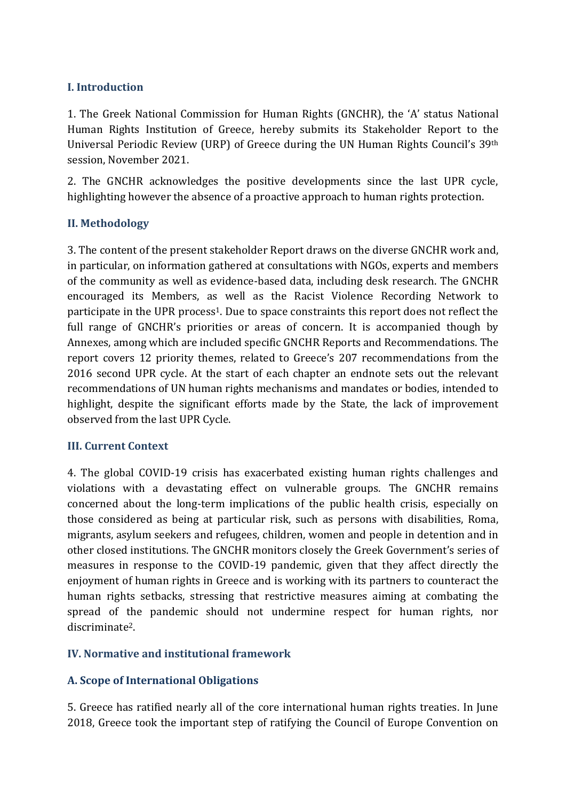# **I. Introduction**

1. The Greek National Commission for Human Rights (GNCHR), the 'A' status National Human Rights Institution of Greece, hereby submits its Stakeholder Report to the Universal Periodic Review (URP) of Greece during the UN Human Rights Council's 39th session, November 2021.

2. The GNCHR acknowledges the positive developments since the last UPR cycle, highlighting however the absence of a proactive approach to human rights protection.

## **II. Methodology**

3. The content of the present stakeholder Report draws on the diverse GNCHR work and, in particular, on information gathered at consultations with NGOs, experts and members of the community as well as evidence-based data, including desk research. The GNCHR encouraged its Members, as well as the Racist Violence Recording Network to participate in the UPR process<sup>1</sup>. Due to space constraints this report does not reflect the full range of GNCHR's priorities or areas of concern. It is accompanied though by Annexes, among which are included specific GNCHR Reports and Recommendations. The report covers 12 priority themes, related to Greece's 207 recommendations from the 2016 second UPR cycle. At the start of each chapter an endnote sets out the relevant recommendations of UN human rights mechanisms and mandates or bodies, intended to highlight, despite the significant efforts made by the State, the lack of improvement observed from the last UPR Cycle.

## **III. Current Context**

4. The global COVID-19 crisis has exacerbated existing human rights challenges and violations with a devastating effect on vulnerable groups. The GNCHR remains concerned about the long-term implications of the public health crisis, especially on those considered as being at particular risk, such as persons with disabilities, Roma, migrants, asylum seekers and refugees, children, women and people in detention and in other closed institutions. The GNCHR monitors closely the Greek Government's series of measures in response to the COVID-19 pandemic, given that they affect directly the enjoyment of human rights in Greece and is working with its partners to counteract the human rights setbacks, stressing that restrictive measures aiming at combating the spread of the pandemic should not undermine respect for human rights, nor discriminate2.

## **IV. Normative and institutional framework**

## **A. Scope of International Obligations**

5. Greece has ratified nearly all of the core international human rights treaties. In June 2018, Greece took the important step of ratifying the Council of Europe Convention on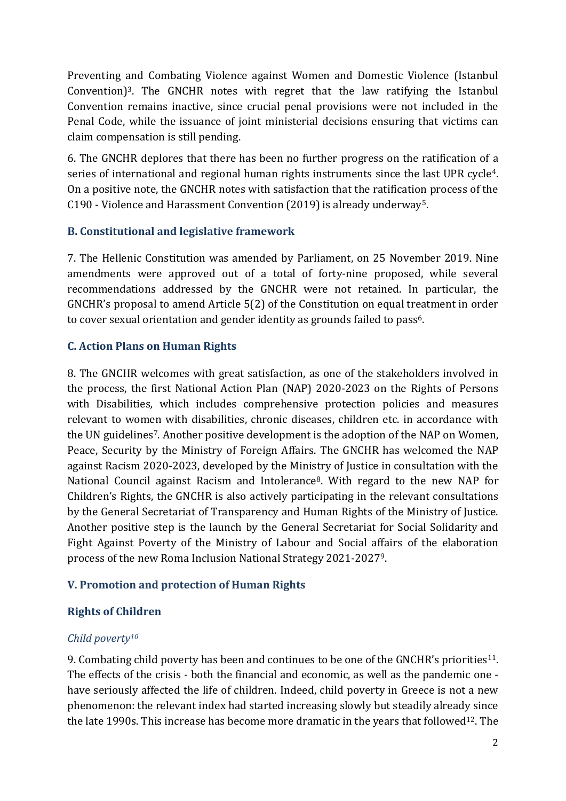Preventing and Combating Violence against Women and Domestic Violence (Istanbul Convention<sup>3</sup>. The GNCHR notes with regret that the law ratifying the Istanbul Convention remains inactive, since crucial penal provisions were not included in the Penal Code, while the issuance of joint ministerial decisions ensuring that victims can claim compensation is still pending.

6. The GNCHR deplores that there has been no further progress on the ratification of a series of international and regional human rights instruments since the last UPR cycle<sup>4</sup>. On a positive note, the GNCHR notes with satisfaction that the ratification process of the C190 - Violence and Harassment Convention (2019) is already underway5.

## **B. Constitutional and legislative framework**

7. The Hellenic Constitution was amended by Parliament, on 25 November 2019. Nine amendments were approved out of a total of forty-nine proposed, while several recommendations addressed by the GNCHR were not retained. In particular, the GNCHR's proposal to amend Article 5(2) of the Constitution on equal treatment in order to cover sexual orientation and gender identity as grounds failed to pass<sup>6</sup>.

# **C. Action Plans on Human Rights**

8. The GNCHR welcomes with great satisfaction, as one of the stakeholders involved in the process, the first National Action Plan (NAP) 2020-2023 on the Rights of Persons with Disabilities*,* which includes comprehensive protection policies and measures relevant to women with disabilities, chronic diseases, children etc. in accordance with the UN guidelines7. Another positive development is the adoption of the NAP on Women, Peace, Security by the Ministry of Foreign Affairs. The GNCHR has welcomed the NAP against Racism 2020-2023, developed by the Ministry of Justice in consultation with the National Council against Racism and Intolerance<sup>8</sup>. With regard to the new NAP for Children's Rights, the GNCHR is also actively participating in the relevant consultations by the General Secretariat of Transparency and Human Rights of the Ministry of Justice. Another positive step is the launch by the General Secretariat for Social Solidarity and Fight Against Poverty of the Ministry of Labour and Social affairs of the elaboration process of the new Roma Inclusion National Strategy 2021-20279.

## **V. Promotion and protection of Human Rights**

## **Rights of Children**

## *Child poverty<sup>10</sup>*

9. Combating child poverty has been and continues to be one of the GNCHR's priorities<sup>11</sup>. The effects of the crisis - both the financial and economic, as well as the pandemic one have seriously affected the life of children. Indeed, child poverty in Greece is not a new phenomenon: the relevant index had started increasing slowly but steadily already since the late 1990s. This increase has become more dramatic in the years that followed<sup>12</sup>. The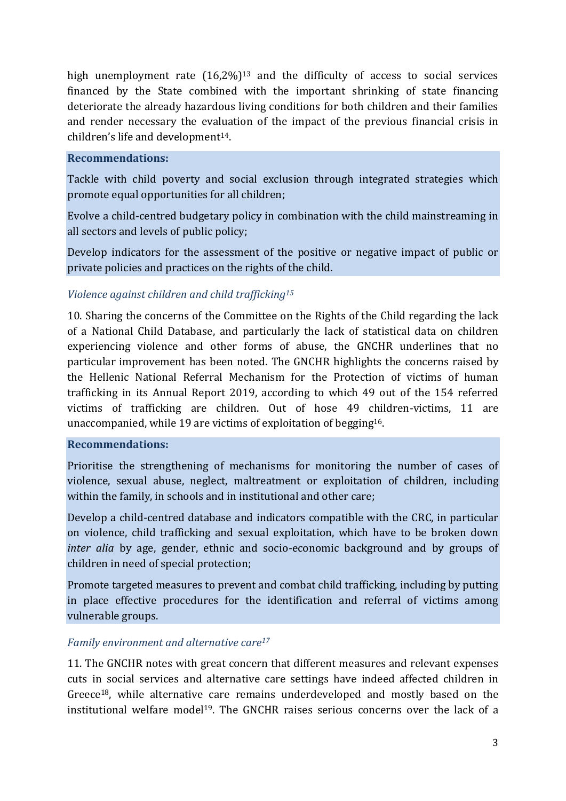high unemployment rate  $(16,2\%)^{13}$  and the difficulty of access to social services financed by the State combined with the important shrinking of state financing deteriorate the already hazardous living conditions for both children and their families and render necessary the evaluation of the impact of the previous financial crisis in children's life and development<sup>14</sup>.

#### **Recommendations:**

Tackle with child poverty and social exclusion through integrated strategies which promote equal opportunities for all children;

Evolve a child-centred budgetary policy in combination with the child mainstreaming in all sectors and levels of public policy;

Develop indicators for the assessment of the positive or negative impact of public or private policies and practices on the rights of the child.

### *Violence against children and child trafficking<sup>15</sup>*

10. Sharing the concerns of the Committee on the Rights of the Child regarding the lack of a National Child Database, and particularly the lack of statistical data on children experiencing violence and other forms of abuse, the GNCHR underlines that no particular improvement has been noted. The GNCHR highlights the concerns raised by the Hellenic National Referral Mechanism for the Protection of victims of human trafficking in its Annual Report 2019, according to which 49 out of the 154 referred victims of trafficking are children. Out of hose 49 children-victims, 11 are unaccompanied, while 19 are victims of exploitation of begging16.

#### **Recommendations:**

Prioritise the strengthening of mechanisms for monitoring the number of cases of violence, sexual abuse, neglect, maltreatment or exploitation of children, including within the family, in schools and in institutional and other care;

Develop a child-centred database and indicators compatible with the CRC, in particular on violence, child trafficking and sexual exploitation, which have to be broken down *inter alia* by age, gender, ethnic and socio-economic background and by groups of children in need of special protection;

Promote targeted measures to prevent and combat child trafficking, including by putting in place effective procedures for the identification and referral of victims among vulnerable groups.

#### *Family environment and alternative care<sup>17</sup>*

11. The GNCHR notes with great concern that different measures and relevant expenses cuts in social services and alternative care settings have indeed affected children in Greece18, while alternative care remains underdeveloped and mostly based on the institutional welfare model<sup>19</sup>. The GNCHR raises serious concerns over the lack of a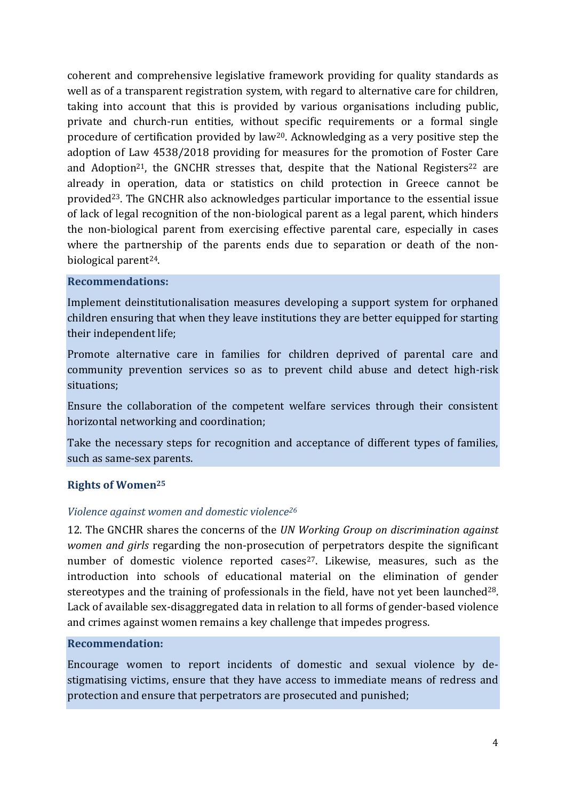coherent and comprehensive legislative framework providing for quality standards as well as of a transparent registration system, with regard to alternative care for children, taking into account that this is provided by various organisations including public, private and church-run entities, without specific requirements or a formal single procedure of certification provided by law20. Acknowledging as a very positive step the adoption of Law 4538/2018 providing for measures for the promotion of Foster Care and Adoption<sup>21</sup>, the GNCHR stresses that, despite that the National Registers<sup>22</sup> are already in operation, data or statistics on child protection in Greece cannot be provided23. The GNCHR also acknowledges particular importance to the essential issue of lack of legal recognition of the non-biological parent as a legal parent, which hinders the non-biological parent from exercising effective parental care, especially in cases where the partnership of the parents ends due to separation or death of the nonbiological parent<sup>24</sup>.

#### **Recommendations:**

Implement deinstitutionalisation measures developing a support system for orphaned children ensuring that when they leave institutions they are better equipped for starting their independent life;

Promote alternative care in families for children deprived of parental care and community prevention services so as to prevent child abuse and detect high-risk situations;

Ensure the collaboration of the competent welfare services through their consistent horizontal networking and coordination;

Take the necessary steps for recognition and acceptance of different types of families, such as same-sex parents.

## **Rights of Women<sup>25</sup>**

## *Violence against women and domestic violence<sup>26</sup>*

12. The GNCHR shares the concerns of the *UN Working Group on discrimination against women and girls* regarding the non-prosecution of perpetrators despite the significant number of domestic violence reported cases<sup>27</sup>. Likewise, measures, such as the introduction into schools of educational material on the elimination of gender stereotypes and the training of professionals in the field, have not yet been launched<sup>28</sup>. Lack of available sex-disaggregated data in relation to all forms of gender-based violence and crimes against women remains a key challenge that impedes progress.

#### **Recommendation:**

Encourage women to report incidents of domestic and sexual violence by destigmatising victims, ensure that they have access to immediate means of redress and protection and ensure that perpetrators are prosecuted and punished;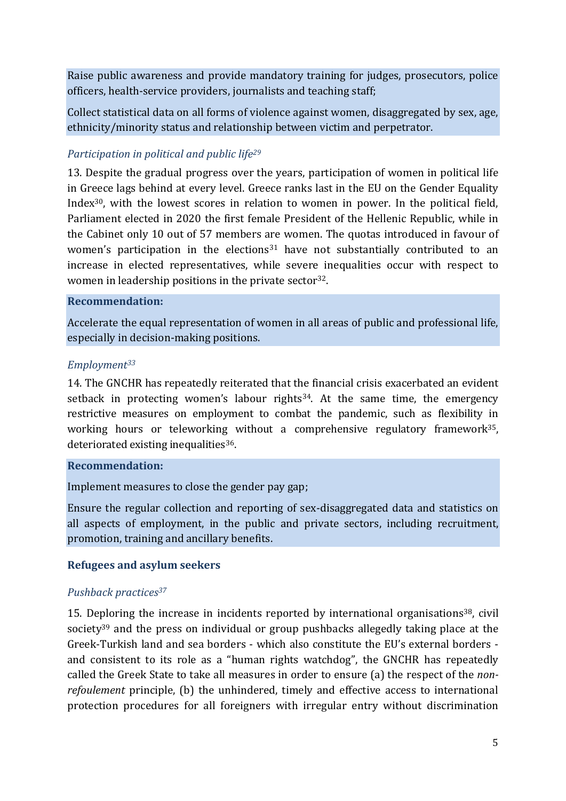Raise public awareness and provide mandatory training for judges, prosecutors, police officers, health-service providers, journalists and teaching staff;

Collect statistical data on all forms of violence against women, disaggregated by sex, age, ethnicity/minority status and relationship between victim and perpetrator.

# *Participation in political and public life<sup>29</sup>*

13. Despite the gradual progress over the years, participation of women in political life in Greece lags behind at every level. Greece ranks last in the EU on the Gender Equality Index30, with the lowest scores in relation to women in power. In the political field, Parliament elected in 2020 the first female President of the Hellenic Republic, while in the Cabinet only 10 out of 57 members are women. The quotas introduced in favour of women's participation in the elections<sup>31</sup> have not substantially contributed to an increase in elected representatives, while severe inequalities occur with respect to women in leadership positions in the private sector<sup>32</sup>.

#### **Recommendation:**

Accelerate the equal representation of women in all areas of public and professional life, especially in decision-making positions.

#### *Employment<sup>33</sup>*

14. The GNCHR has repeatedly reiterated that the financial crisis exacerbated an evident setback in protecting women's labour rights<sup>34</sup>. At the same time, the emergency restrictive measures on employment to combat the pandemic, such as flexibility in working hours or teleworking without a comprehensive regulatory framework<sup>35</sup>, deteriorated existing inequalities<sup>36</sup>.

#### **Recommendation:**

Implement measures to close the gender pay gap;

Ensure the regular collection and reporting of sex-disaggregated data and statistics on all aspects of employment, in the public and private sectors, including recruitment, promotion, training and ancillary benefits.

#### **Refugees and asylum seekers**

#### *Pushback practices<sup>37</sup>*

15. Deploring the increase in incidents reported by international organisations38, civil society<sup>39</sup> and the press on individual or group pushbacks allegedly taking place at the Greek-Turkish land and sea borders - which also constitute the EU's external borders and consistent to its role as a "human rights watchdog", the GNCHR has repeatedly called the Greek State to take all measures in order to ensure (a) the respect of the *nonrefoulement* principle, (b) the unhindered, timely and effective access to international protection procedures for all foreigners with irregular entry without discrimination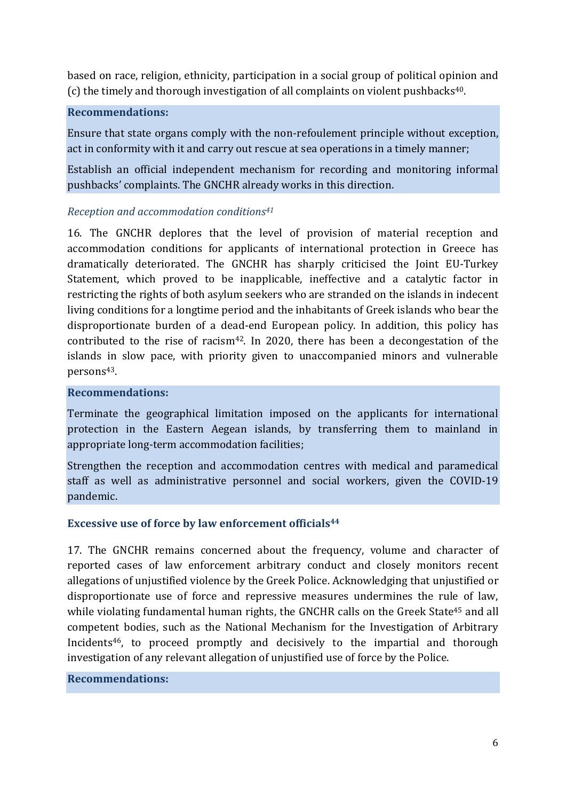based on race, religion, ethnicity, participation in a social group of political opinion and (c) the timely and thorough investigation of all complaints on violent pushbacks40.

### **Recommendations:**

Ensure that state organs comply with the non-refoulement principle without exception, act in conformity with it and carry out rescue at sea operations in a timely manner;

Establish an official independent mechanism for recording and monitoring informal pushbacks' complaints. The GNCHR already works in this direction.

### *Reception and accommodation conditions<sup>41</sup>*

16. The GNCHR deplores that the level of provision of material reception and accommodation conditions for applicants of international protection in Greece has dramatically deteriorated. The GNCHR has sharply criticised the Joint EU-Turkey Statement, which proved to be inapplicable, ineffective and a catalytic factor in restricting the rights of both asylum seekers who are stranded on the islands in indecent living conditions for a longtime period and the inhabitants of Greek islands who bear the disproportionate burden of a dead-end European policy. In addition, this policy has contributed to the rise of racism<sup>42</sup>. In 2020, there has been a decongestation of the islands in slow pace, with priority given to unaccompanied minors and vulnerable persons43.

#### **Recommendations:**

Terminate the geographical limitation imposed on the applicants for international protection in the Eastern Aegean islands, by transferring them to mainland in appropriate long-term accommodation facilities;

Strengthen the reception and accommodation centres with medical and paramedical staff as well as administrative personnel and social workers, given the COVID-19 pandemic.

#### **Excessive use of force by law enforcement officials<sup>44</sup>**

17. The GNCHR remains concerned about the frequency, volume and character of reported cases of law enforcement arbitrary conduct and closely monitors recent allegations of unjustified violence by the Greek Police. Acknowledging that unjustified or disproportionate use of force and repressive measures undermines the rule of law, while violating fundamental human rights, the GNCHR calls on the Greek State<sup>45</sup> and all competent bodies, such as the National Mechanism for the Investigation of Arbitrary Incidents46, to proceed promptly and decisively to the impartial and thorough investigation of any relevant allegation of unjustified use of force by the Police.

#### **Recommendations:**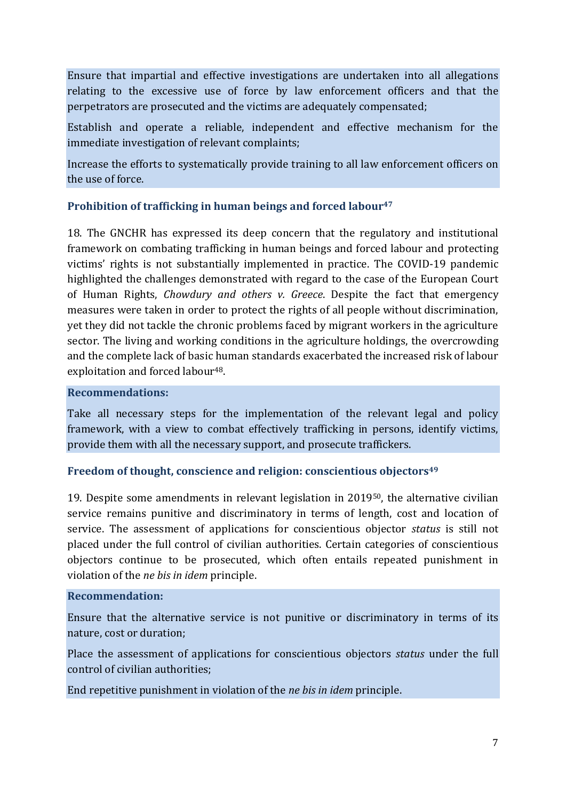Ensure that impartial and effective investigations are undertaken into all allegations relating to the excessive use of force by law enforcement officers and that the perpetrators are prosecuted and the victims are adequately compensated;

Establish and operate a reliable, independent and effective mechanism for the immediate investigation of relevant complaints;

Increase the efforts to systematically provide training to all law enforcement officers on the use of force.

## **Prohibition of trafficking in human beings and forced labour<sup>47</sup>**

18. The GNCHR has expressed its deep concern that the regulatory and institutional framework on combating trafficking in human beings and forced labour and protecting victims' rights is not substantially implemented in practice. The COVID-19 pandemic highlighted the challenges demonstrated with regard to the case of the European Court of Human Rights, *Chowdury and others v. Greece*. Despite the fact that emergency measures were taken in order to protect the rights of all people without discrimination, yet they did not tackle the chronic problems faced by migrant workers in the agriculture sector. The living and working conditions in the agriculture holdings, the overcrowding and the complete lack of basic human standards exacerbated the increased risk of labour exploitation and forced labour<sup>48</sup>.

#### **Recommendations:**

Take all necessary steps for the implementation of the relevant legal and policy framework, with a view to combat effectively trafficking in persons, identify victims, provide them with all the necessary support, and prosecute traffickers.

#### **Freedom of thought, conscience and religion: conscientious objectors<sup>49</sup>**

19. Despite some amendments in relevant legislation in 201950, the alternative civilian service remains punitive and discriminatory in terms of length, cost and location of service. The assessment of applications for conscientious objector *status* is still not placed under the full control of civilian authorities. Certain categories of conscientious objectors continue to be prosecuted, which often entails repeated punishment in violation of the *ne bis in idem* principle.

#### **Recommendation:**

Ensure that the alternative service is not punitive or discriminatory in terms of its nature, cost or duration;

Place the assessment of applications for conscientious objectors *status* under the full control of civilian authorities;

End repetitive punishment in violation of the *ne bis in idem* principle.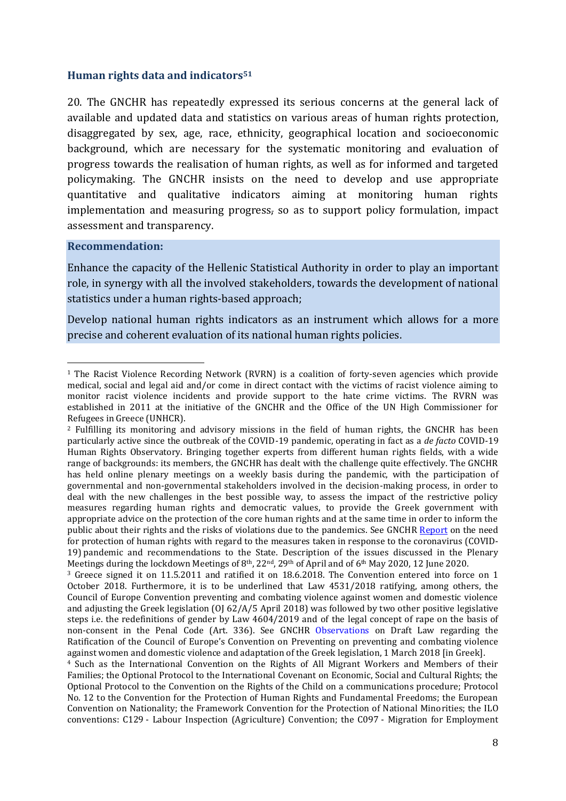#### **Human rights data and indicators<sup>51</sup>**

20. The GNCHR has repeatedly expressed its serious concerns at the general lack of available and updated data and statistics on various areas of human rights protection, disaggregated by sex, age, race, ethnicity, geographical location and socioeconomic background, which are necessary for the systematic monitoring and evaluation of progress towards the realisation of human rights, as well as for informed and targeted policymaking. The GNCHR insists on the need to develop and use appropriate quantitative and qualitative indicators aiming at monitoring human rights implementation and measuring progress, so as to support policy formulation, impact assessment and transparency.

#### **Recommendation:**

Enhance the capacity of the Hellenic Statistical Authority in order to play an important role, in synergy with all the involved stakeholders, towards the development of national statistics under a human rights-based approach;

Develop national human rights indicators as an instrument which allows for a more precise and coherent evaluation of its national human rights policies.

<sup>3</sup> Greece signed it on 11.5.2011 and ratified it on 18.6.2018. The Convention entered into force on 1 October 2018. Furthermore, it is to be underlined that Law 4531/2018 ratifying, among others, the Council of Europe Convention preventing and combating violence against women and domestic violence and adjusting the Greek legislation (OJ 62/A/5 April 2018) was followed by two other positive legislative steps i.e. the redefinitions of gender by Law 4604/2019 and of the legal concept of rape on the basis of non-consent in the Penal Code (Art. 336). See GNCHR [Observations](http://www.nchr.gr/images/pdf/apofaseis/isothta_fullwn/EEDA_Symvasi_Konstad.pdf) on Draft Law regarding the Ratification of the Council of Europe's Convention on Preventing on preventing and combating violence against women and domestic violence and adaptation of the Greek legislation, 1 March 2018 [in Greek].

<sup>1</sup> The Racist Violence Recording Network (RVRN) is a coalition of forty-seven agencies which provide medical, social and legal aid and/or come in direct contact with the victims of racist violence aiming to monitor racist violence incidents and provide support to the hate crime victims. The RVRN was established in 2011 at the initiative of the GNCHR and the Office of the UN High Commissioner for Refugees in Greece (UNHCR).

<sup>2</sup> Fulfilling its monitoring and advisory missions in the field of human rights, the GNCHR has been particularly active since the outbreak of the COVID-19 pandemic, operating in fact as a *de facto* COVID-19 Human Rights Observatory. Bringing together experts from different human rights fields, with a wide range of backgrounds: its members, the GNCHR has dealt with the challenge quite effectively. The GNCHR has held online plenary meetings on a weekly basis during the pandemic, with the participation of governmental and non-governmental stakeholders involved in the decision-making process, in order to deal with the new challenges in the best possible way, to assess the impact of the restrictive policy measures regarding human rights and democratic values, to provide the Greek government with appropriate advice on the protection of the core human rights and at the same time in order to inform the public about their rights and the risks of violations due to the pandemics. See GNCHR [Report](https://nchr.gr/images/English_Site/COVID19/GNCHR_HR_COVID-19ENG.pdf) on the need for protection of human rights with regard to the measures taken in response to the coronavirus (COVID-19) pandemic and recommendations to the State. Description of the issues discussed in the Plenary Meetings during the lockdown Meetings of 8<sup>th</sup>, 22<sup>nd</sup>, 29<sup>th</sup> of April and of 6<sup>th</sup> May 2020, 12 June 2020.

<sup>&</sup>lt;sup>4</sup> Such as the International Convention on the Rights of All Migrant Workers and Members of their Families; the Optional Protocol to the International Covenant on Economic, Social and Cultural Rights; the Optional Protocol to the Convention on the Rights of the Child on a communications procedure; Protocol No. 12 to the Convention for the Protection of Human Rights and Fundamental Freedoms; the European Convention on Nationality; the Framework Convention for the Protection of National Minorities; the ILO conventions: C129 - Labour Inspection (Agriculture) Convention; the C097 - Migration for Employment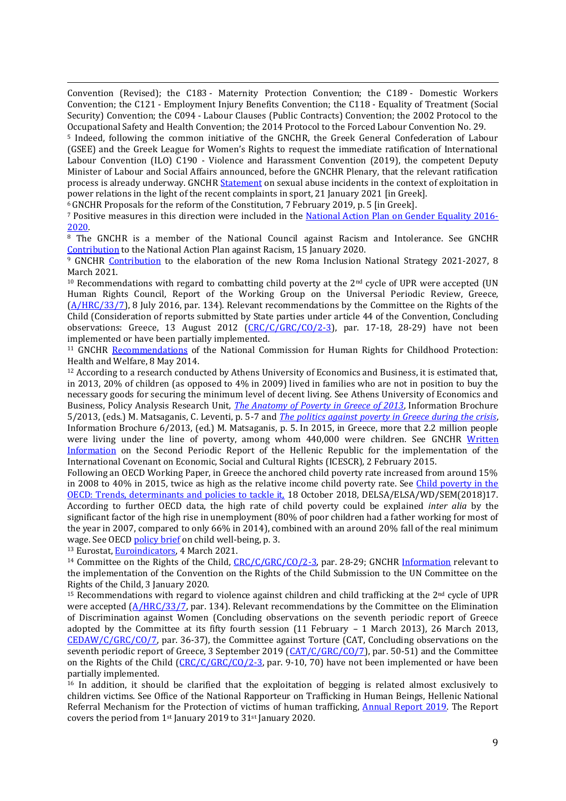Convention (Revised); the C183 - Maternity Protection Convention; the C189 - Domestic Workers Convention; the C121 - Employment Injury Benefits Convention; the C118 - Equality of Treatment (Social Security) Convention; the C094 - Labour Clauses (Public Contracts) Convention; the 2002 Protocol to the Occupational Safety and Health Convention; the 2014 Protocol to the Forced Labour Convention No. 29.

<sup>5</sup> Indeed, following the common initiative of the GNCHR, the Greek General Confederation of Labour (GSEE) and the Greek League for Women's Rights to request the immediate ratification of International Labour Convention (ILO) C190 - Violence and Harassment Convention (2019), the competent Deputy Minister of Labour and Social Affairs announced, before the GNCHR Plenary, that the relevant ratification process is already underway. GNCHR [Statement](https://www.nchr.gr/2020-02-26-05-51-20/50-isotita-fylon/1133-%CE%B4%CE%AE%CE%BB%CF%89%CF%83%CE%B7-%CF%84%CE%B7%CF%82-%CE%B5%CE%B5%CE%B4%CE%B1-%CE%B3%CE%B9%CE%B1-%CF%84%CE%B1-%CF%86%CE%B1%CE%B9%CE%BD%CF%8C%CE%BC%CE%B5%CE%BD%CE%B1-%CF%83%CE%B5%CE%BE%CE%BF%25C) on sexual abuse incidents in the context of exploitation in power relations in the light of the recent complaints in sport, 21 January 2021 [in Greek].

<sup>6</sup>GNCHR [Proposals](http://www.nchr.gr/images/pdf/apofaseis/EEDA_Syntagmatiki%20Anatheorisi.pdf) for the reform of the Constitution, 7 February 2019, p. 5 [in Greek].

<sup>7</sup> Positive measures in this direction were included in the [National Action Plan on Gender Equality 2016-](https://www.isotita.gr/ethniko-programma-drasis/) [2020.](https://www.isotita.gr/ethniko-programma-drasis/)

<sup>8</sup> The GNCHR is a member of the National Council against Racism and Intolerance. See GNCHR [Contribution](https://nchr.gr/2020-02-26-05-51-20/39-diakriseis-ratsismos/1159-%CF%83%CF%85%CE%BC%CE%B2%CE%BF%CE%BB%CE%AE-%CF%84%CE%B7%CF%82-%CE%B5%CE%B5%CE%B4%CE%B1-%CF%83%CF%84%CE%BF-%CE%B5%CE%B8%CE%BD%CE%B9%CE%BA%CF%8C-%CF%83%CF%87%CE%AD%CE%B4%CE%B9%CE%BF-%CE%B4%CF%258) to the National Action Plan against Racism, 15 January 2020.

<sup>9</sup> GNCHR [Contribution](https://www.nchr.gr/images/English_Site/ROMA/EEDA_erotimatologio_Roma_32021.pdf) to the elaboration of the new Roma Inclusion National Strategy 2021-2027, 8 March 2021.

 $10$  Recommendations with regard to combatting child poverty at the  $2<sup>nd</sup>$  cycle of UPR were accepted (UN Human Rights Council, Report of the Working Group on the Universal Periodic Review, Greece, [\(A/HRC/33/7\)](https://www.refworld.org/pdfid/57cd5dee4.pdf), 8 July 2016, par. 134). Relevant recommendations by the Committee on the Rights of the Child (Consideration of reports submitted by State parties under article 44 of the Convention, Concluding observations: Greece, 13 August 2012  $(CRC/C/GRC/CO/2-3)$ , par. 17-18, 28-29) have not been implemented or have been partially implemented.

<sup>11</sup> GNCHR [Recommendations](https://nchr.gr/en/decisions-positions/91-children/463-recommendations-of-the-national-commission-for-human-rights-nchr-for-childhood-protection-health-and-welfare.html) of the National Commission for Human Rights for Childhood Protection: Health and Welfare, 8 May 2014.

 $12$  According to a research conducted by Athens University of Economics and Business, it is estimated that, in 2013, 20% of children (as opposed to 4% in 2009) lived in families who are not in position to buy the necessary goods for securing the minimum level of decent living. See Athens University of Economics and Business, Policy Analysis Research Unit, *[The Anatomy of Poverty in Greece of 2013](http://www.paru.gr/files/newsletters/NewsLetter_05.pdf)*, Information Brochure 5/2013, (eds.) M. Matsaganis, C. Leventi, p. 5-7 and *[The politics against poverty in Greece during the crisis](http://www.paru.gr/files/newsletters/NewsLetter_06.pdf)*, Information Brochure 6/2013, (ed.) M. Matsaganis, p. 5. In 2015, in Greece, more that 2.2 million people were living under the line of poverty, among whom 440,000 were children. See GNCHR Written [Information](https://tbinternet.ohchr.org/Treaties/CESCR/Shared%20Documents/GRC/INT_CESCR_IFL_GRC_19446_E.pdf) on the Second Periodic Report of the Hellenic Republic for the implementation of the International Covenant on Economic, Social and Cultural Rights (ICESCR), 2 February 2015.

Following an OECD Working Paper, in Greece the anchored child poverty rate increased from around 15% in 2008 to 40% in 2015, twice as high as the relative income child poverty rate. See [Child poverty in the](https://www.oecd-ilibrary.org/docserver/c69de229-en.pdf?expires=1578496582&id=id&accname=guest&checksum=10FCCDE14295E03430988EB104029AC6)  [OECD: Trends, determinants and policies to tackle it,](https://www.oecd-ilibrary.org/docserver/c69de229-en.pdf?expires=1578496582&id=id&accname=guest&checksum=10FCCDE14295E03430988EB104029AC6) 18 October 2018, DELSA/ELSA/WD/SEM(2018)17. According to further OECD data, the high rate of child poverty could be explained *inter alia* by the significant factor of the high rise in unemployment (80% of poor children had a father working for most of the year in 2007, compared to only 66% in 2014), combined with an around 20% fall of the real minimum wage. See OECD [policy brief](https://www.oecd.org/els/family/Poor-children-in-rich-countries-Policy-brief-2018.pdf) on child well-being, p. 3.

13 Eurostat, [Euroindicators,](https://ec.europa.eu/eurostat/documents/portlet_file_entry/2995521/3-04032021-AP-EN.pdf/cb6e5dd6-56c2-2196-16b7-baf811b84a4f) 4 March 2021.

<sup>14</sup> Committee on the Rights of the Child, [CRC/C/GRC/CO/2-3,](https://tbinternet.ohchr.org/_layouts/15/treatybodyexternal/Download.aspx?symbolno=CRC/C/GRC/CO/2-3&Lang=En) par. 28-29; GNCHR [Information](https://nchr.gr/en/decisions-positions/91-children/1052-gnchr-submission-to-the-un-committee-on-the-rights-of-the-child-information-relevant-to-the-implementation-of-the-convention-on-the-rights-of-the-child.html) relevant to the implementation of the Convention on the Rights of the Child Submission to the UN Committee on the Rights of the Child, 3 January 2020.

<sup>15</sup> Recommendations with regard to violence against children and child trafficking at the  $2<sup>nd</sup>$  cycle of UPR were accepted ( $\triangle/HRC/33/7$ , par. 134). Relevant recommendations by the Committee on the Elimination of Discrimination against Women (Concluding observations on the seventh periodic report of Greece adopted by the Committee at its fifty fourth session (11 February – 1 March 2013), 26 March 2013, [CEDAW/C/GRC/CO/7,](https://tbinternet.ohchr.org/_layouts/15/treatybodyexternal/Download.aspx?symbolno=CEDAW/C/GRC/CO/7&Lang=En) par. 36-37), the Committee against Torture (CAT, Concluding observations on the seventh periodic report of Greece, 3 September 2019 [\(CAT/C/GRC/CO/7\)](https://tbinternet.ohchr.org/_layouts/15/treatybodyexternal/Download.aspx?symbolno=CAT/C/GRC/CO/7&Lang=En), par. 50-51) and the Committee on the Rights of the Child [\(CRC/C/GRC/CO/2-3,](https://tbinternet.ohchr.org/_layouts/15/treatybodyexternal/Download.aspx?symbolno=CRC/C/GRC/CO/2-3&Lang=En) par. 9-10, 70) have not been implemented or have been partially implemented.

<sup>16</sup> In addition, it should be clarified that the exploitation of begging is related almost exclusively to children victims. See Office of the National Rapporteur on Trafficking in Human Beings, Hellenic National Referral Mechanism for the Protection of victims of human trafficking, [Annual Report 2019.](https://sway.office.com/CZCIlh5PWFObbhQn) The Report covers the period from 1st January 2019 to 31st January 2020.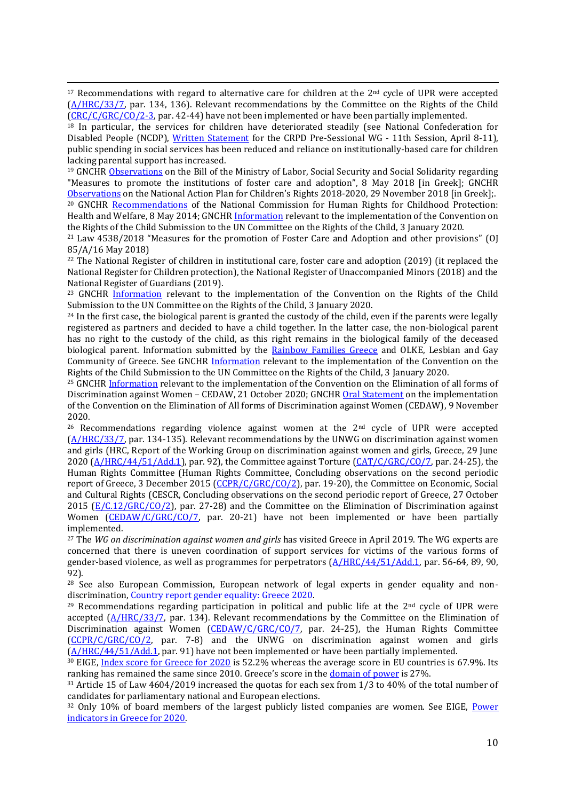$17$  Recommendations with regard to alternative care for children at the  $2<sup>nd</sup>$  cycle of UPR were accepted [\(A/HRC/33/7,](https://www.refworld.org/pdfid/57cd5dee4.pdf) par. 134, 136). Relevant recommendations by the Committee on the Rights of the Child [\(CRC/C/GRC/CO/2-3,](https://tbinternet.ohchr.org/_layouts/15/treatybodyexternal/Download.aspx?symbolno=CRC/C/GRC/CO/2-3&Lang=En) par. 42-44) have not been implemented or have been partially implemented.

<sup>18</sup> In particular, the services for children have deteriorated steadily (see National Confederation for Disabled People (NCDP), [Written Statement](https://www.paratiritirioanapirias.gr/storage/app/uploads/public/5cb/856/b16/5cb856b166b42689508528.docx) for the CRPD Pre-Sessional WG - 11th Session, April 8-11), public spending in social services has been reduced and reliance on institutionally-based care for children lacking parental support has increased.

<sup>19</sup> GNCHR [Observations](http://www.nchr.gr/images/pdf/apofaseis/paidia/Paratiriseis_SxN_Anadoxi_Yiothesia.pdf) on the Bill of the Ministry of Labor, Social Security and Social Solidarity regarding "Measures to promote the institutions of foster care and adoption", 8 May 2018 [in Greek]; GNCHR [Observations](https://nchr.gr/2020-02-26-05-51-20/54-paidia/286-paratiriseis-tis-eeda-epi-tou-ethnikoy-sxediou-drasis-gia-ta-dikaiomata-tou-paidioy.html) on the National Action Plan for Children's Rights 2018-2020, 29 November 2018 [in Greek];.

<sup>20</sup> GNCHR [Recommendations](https://nchr.gr/en/decisions-positions/91-children/463-recommendations-of-the-national-commission-for-human-rights-nchr-for-childhood-protection-health-and-welfare.html) of the National Commission for Human Rights for Childhood Protection: Health and Welfare, 8 May 2014; GNCH[R Information](https://nchr.gr/en/decisions-positions/91-children/1052-gnchr-submission-to-the-un-committee-on-the-rights-of-the-child-information-relevant-to-the-implementation-of-the-convention-on-the-rights-of-the-child.html) relevant to the implementation of the Convention on the Rights of the Child Submission to the UN Committee on the Rights of the Child, 3 January 2020.

<sup>21</sup> Law 4538/2018 "Measures for the promotion of Foster Care and Adoption and other provisions" (OJ 85/A/16 May 2018)

<sup>22</sup> The National Register of children in institutional care, foster care and adoption (2019) (it replaced the National Register for Children protection), the National Register of Unaccompanied Minors (2018) and the National Register of Guardians (2019).

<sup>23</sup> GNCHR [Information](https://nchr.gr/en/decisions-positions/91-children/1052-gnchr-submission-to-the-un-committee-on-the-rights-of-the-child-information-relevant-to-the-implementation-of-the-convention-on-the-rights-of-the-child.html) relevant to the implementation of the Convention on the Rights of the Child Submission to the UN Committee on the Rights of the Child, 3 January 2020.

<sup>24</sup> In the first case, the biological parent is granted the custody of the child, even if the parents were legally registered as partners and decided to have a child together. In the latter case, the non-biological parent has no right to the custody of the child, as this right remains in the biological family of the deceased biological parent. Information submitted by the [Rainbow Families Greece](http://www.rainbowfamiliesgreece.com/english.html) and OLKE, Lesbian and Gay Community of Greece. See GNCHR [Information](https://nchr.gr/en/decisions-positions/91-children/1052-gnchr-submission-to-the-un-committee-on-the-rights-of-the-child-information-relevant-to-the-implementation-of-the-convention-on-the-rights-of-the-child.html) relevant to the implementation of the Convention on the Rights of the Child Submission to the UN Committee on the Rights of the Child, 3 January 2020.

<sup>25</sup> GNCHR [Information](https://www.nchr.gr/images/English_Site/GYNAIKES/INT_CEDAW_IFR_GRC_43558_E.pdf) relevant to the implementation of the Convention on the Elimination of all forms of Discrimination against Women – CEDAW, 21 October 2020; GNCH[R Oral Statement](https://www.nchr.gr/images/pdf/apofaseis/isothta_fullwn/GNCHR_Oral_Statement_CEDAW_site2.pdf) on the implementation of the Convention on the Elimination of All forms of Discrimination against Women (CEDAW), 9 November 2020.

<sup>26</sup> Recommendations regarding violence against women at the <sup>2nd</sup> cycle of UPR were accepted [\(A/HRC/33/7,](https://www.refworld.org/pdfid/57cd5dee4.pdf) par. 134-135). Relevant recommendations by the UNWG on discrimination against women and girls (HRC, Report of the Working Group on discrimination against women and girls, Greece, 29 June 2020 [\(A/HRC/44/51/Add.1\)](https://ap.ohchr.org/documents/dpage_e.aspx?si=A/HRC/44/51/Add.1), par. 92), the Committee against Torture [\(CAT/C/GRC/CO/7,](https://tbinternet.ohchr.org/_layouts/15/treatybodyexternal/Download.aspx?symbolno=CAT/C/GRC/CO/7&Lang=En) par. 24-25), the Human Rights Committee (Human Rights Committee, Concluding observations on the second periodic report of Greece, 3 December 2015 [\(CCPR/C/GRC/CO/2\)](https://tbinternet.ohchr.org/_layouts/15/treatybodyexternal/Download.aspx?symbolno=CCPR/C/GRC/CO/2&Lang=En), par. 19-20), the Committee on Economic, Social and Cultural Rights (CESCR, Concluding observations on the second periodic report of Greece, 27 October 2015 [\(E/C.12/GRC/CO/2\)](https://tbinternet.ohchr.org/_layouts/15/treatybodyexternal/Download.aspx?symbolno=E/C.12/GRC/CO/2&Lang=En), par. 27-28) and the Committee on the Elimination of Discrimination against Women [\(CEDAW/C/GRC/CO/7,](https://tbinternet.ohchr.org/_layouts/15/treatybodyexternal/Download.aspx?symbolno=CEDAW/C/GRC/CO/7&Lang=En) par. 20-21) have not been implemented or have been partially implemented.

<sup>27</sup> The *WG on discrimination against women and girls* has visited Greece in April 2019. The WG experts are concerned that there is uneven coordination of support services for victims of the various forms of gender-based violence, as well as programmes for perpetrators [\(A/HRC/44/51/Add.1,](https://ap.ohchr.org/documents/dpage_e.aspx?si=A/HRC/44/51/Add.1) par. 56-64, 89, 90, 92).

<sup>28</sup> See also European Commission, European network of legal experts in gender equality and nondiscrimination[, Country report gender equality: Greece 2020.](https://www.equalitylaw.eu/downloads/5235-greece-country-report-gender-equality-2020-1-92-mb) 

<sup>29</sup> Recommendations regarding participation in political and public life at the  $2<sup>nd</sup>$  cycle of UPR were accepted [\(A/HRC/33/7,](https://www.refworld.org/pdfid/57cd5dee4.pdf) par. 134). Relevant recommendations by the Committee on the Elimination of Discrimination against Women [\(CEDAW/C/GRC/CO/7,](https://tbinternet.ohchr.org/_layouts/15/treatybodyexternal/Download.aspx?symbolno=CEDAW/C/GRC/CO/7&Lang=En) par. 24-25), the Human Rights Committee [\(CCPR/C/GRC/CO/2,](https://tbinternet.ohchr.org/_layouts/15/treatybodyexternal/Download.aspx?symbolno=CCPR/C/GRC/CO/2&Lang=En) par. 7-8) and the UNWG on discrimination against women and girls [\(A/HRC/44/51/Add.1,](https://ap.ohchr.org/documents/dpage_e.aspx?si=A/HRC/44/51/Add.1) par. 91) have not been implemented or have been partially implemented.

<sup>30</sup> EIGE, [Index score for Greece for 2020](https://eige.europa.eu/gender-equality-index/2020/country/EL) is 52.2% whereas the average score in EU countries is 67.9%. Its ranking has remained the same since 2010. Greece's score in the [domain of power](https://eige.europa.eu/gender-equality-index/2020/domain/power/EL) is 27%.

<sup>31</sup> Article 15 of Law 4604/2019 increased the quotas for each sex from 1/3 to 40% of the total number of candidates for parliamentary national and European elections.

<sup>32</sup> Only 10% of board members of the largest publicly listed companies are women. See EIGE, Power [indicators in Greece for 2020.](https://eige.europa.eu/gender-equality-index/2020/domain/power/EL)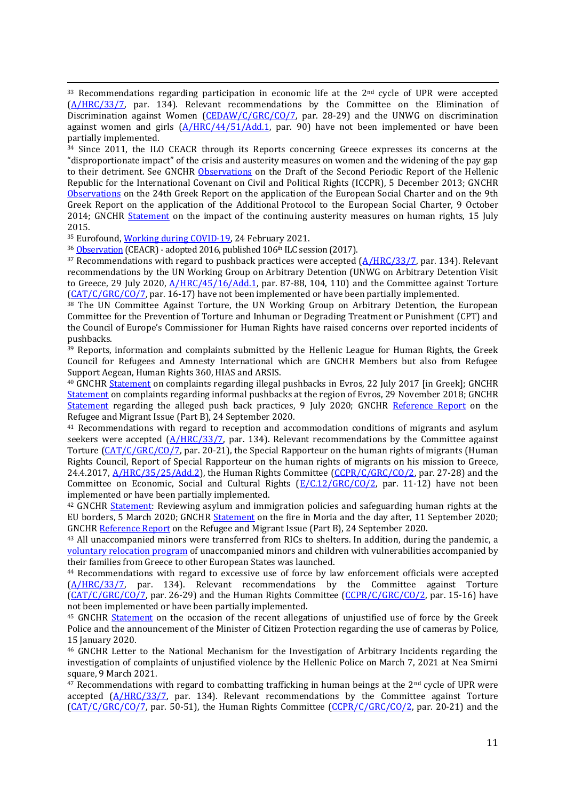$33$  Recommendations regarding participation in economic life at the  $2<sup>nd</sup>$  cycle of UPR were accepted [\(A/HRC/33/7,](https://www.refworld.org/pdfid/57cd5dee4.pdf) par. 134). Relevant recommendations by the Committee on the Elimination of Discrimination against Women [\(CEDAW/C/GRC/CO/7,](https://tbinternet.ohchr.org/_layouts/15/treatybodyexternal/Download.aspx?symbolno=CEDAW/C/GRC/CO/7&Lang=En) par. 28-29) and the UNWG on discrimination against women and girls  $(A/HRC/44/51/Add.1)$  par. 90) have not been implemented or have been partially implemented.

<sup>34</sup> Since 2011, the ILO CEACR through its Reports concerning Greece expresses its concerns at the "disproportionate impact" of the crisis and austerity measures on women and the widening of the pay gap to their detriment. See GNCHR [Observations](http://www.nchr.gr/images/pdf/apofaseis/ellinikes_ektheseis_en_ell_org/OHE/dsapd.pdf) on the Draft of the Second Periodic Report of the Hellenic Republic for the International Covenant on Civil and Political Rights (ICCPR), 5 December 2013; GNCHR [Observations](http://www.nchr.gr/images/pdf/apofaseis/ellinikes_ektheseis_en_ell_org/CoE/GNCHR_Observations_24thReportf.pdf) on the 24th Greek Report on the application of the European Social Charter and on the 9th Greek Report on the application of the Additional Protocol to the European Social Charter, 9 October 2014; GNCHR [Statement](https://nhri.ohchr.org/EN/News/Documents/GNCHR%20Statement%20and%20Annexes.pdf) on the impact of the continuing austerity measures on human rights, 15 July 2015.

<sup>35</sup> Eurofound, [Working during COVID-19,](https://www.eurofound.europa.eu/data/covid-19/working-teleworking?var=D002&cat_sel=Yes%2C%20permanently_Yes%2C%20temporarily&chart_type=Bar&country_filter=Greece) 24 February 2021.

<sup>36</sup> [Observation](http://www.ilo.org/dyn/normlex/en/f?p=1000:13100:0::NO:13100:P13100_COMMENT_ID:3297855) (CEACR) - adopted 2016, published 106<sup>th</sup> ILC session (2017).

 $37$  Recommendations with regard to pushback practices were accepted  $(A/HRC/33/7)$ , par. 134). Relevant recommendations by the UN Working Group on Arbitrary Detention (UNWG on Arbitrary Detention Visit to Greece, 29 July 2020,  $A/HRC/45/16/Add.1$ , par. 87-88, 104, 110) and the Committee against Torture [\(CAT/C/GRC/CO/7,](https://tbinternet.ohchr.org/_layouts/15/treatybodyexternal/Download.aspx?symbolno=CAT/C/GRC/CO/7&Lang=En) par. 16-17) have not been implemented or have been partially implemented.

<sup>38</sup> The UN Committee Against Torture, the UN Working Group on Arbitrary Detention, the European Committee for the Prevention of Torture and Inhuman or Degrading Treatment or Punishment (CPT) and the Council of Europe's Commissioner for Human Rights have raised concerns over reported incidents of pushbacks.

<sup>39</sup> Reports, information and complaints submitted by the Hellenic League for Human Rights, the Greek Council for Refugees and Amnesty International which are GNCHR Members but also from Refugee Support Aegean, Human Rights 360, HIAS and ARSIS.

<sup>40</sup> GNCHR [Statement](https://www.nchr.gr/2020-02-26-05-51-20/57-prosfyges-metanastes/809-%CE%B4%CE%AE%CE%BB%CF%89%CF%83%CE%B7-%CF%84%CE%B7%CF%82-%CE%B5%CE%B5%CE%B4%CE%B1-%CE%B3%CE%B9%CE%B1-%CF%84%CE%B7%CE%BD-%CE%BA%CE%B1%CF%84%CE%AC%CF%83%CF%84%CE%B1%CF%83%CE%B7-%CF%258) on complaints regarding illegal pushbacks in Evros, 22 July 2017 [in Greek]; GNCHR [Statement](https://www.nchr.gr/en/decisions-positions/94-refugees-migrants/484-statement-gnchr-statement-on-complaints-regarding-informal-push-backs-at-the-region-of-evros.html) on complaints regarding informal pushbacks at the region of Evros, 29 November 2018; GNCHR [Statement](https://www.nchr.gr/images/English_Site/PROSFYGES/GNCHR-Statement-on-the-reported-practices-of-push-backs.pdf) regarding the alleged push back practices, 9 July 2020; GNCHR [Reference Report](https://www.nchr.gr/en/news/1131-gnchr-reference-report-on-the-refugee-and-migrant-issue.html) on the Refugee and Migrant Issue (Part B), 24 September 2020.

<sup>41</sup> Recommendations with regard to reception and accommodation conditions of migrants and asylum seekers were accepted  $(A/HRC/33/7,$  par. 134). Relevant recommendations by the Committee against Torture [\(CAT/C/GRC/CO/7,](https://tbinternet.ohchr.org/_layouts/15/treatybodyexternal/Download.aspx?symbolno=CAT/C/GRC/CO/7&Lang=En) par. 20-21), the Special Rapporteur on the human rights of migrants (Human Rights Council, Report of Special Rapporteur on the human rights of migrants on his mission to Greece, 24.4.2017, [A/HRC/35/25/Add.2\)](https://ap.ohchr.org/documents/dpage_e.aspx?si=A/HRC/35/25/Add.2), the Human Rights Committee [\(CCPR/C/GRC/CO/2,](https://tbinternet.ohchr.org/_layouts/15/treatybodyexternal/Download.aspx?symbolno=CCPR/C/GRC/CO/2&Lang=En) par. 27-28) and the Committee on Economic, Social and Cultural Rights  $(E/C.12/GRC/CO/2)$ , par. 11-12) have not been implemented or have been partially implemented.

<sup>42</sup> GNCHR [Statement:](https://www.nchr.gr/en/decisions-positions/94-refugees-migrants/477-gnchr-statement-reviewing-asylum-and-immigration-policies-and-safeguarding-human-rights-at-the-eu-borders.html) Reviewing asylum and immigration policies and safeguarding human rights at the EU borders, 5 March 2020; GNCHR [Statement](https://www.nchr.gr/en/decisions-positions/94-refugees-migrants/1020-gnchr-statement-on-the-fire-in-moria-and-the-day-after.html) on the fire in Moria and the day after, 11 September 2020; GNCH[R Reference Report](https://www.nchr.gr/en/news/1131-gnchr-reference-report-on-the-refugee-and-migrant-issue.html) on the Refugee and Migrant Issue (Part B), 24 September 2020.

<sup>43</sup> All unaccompanied minors were transferred from RICs to shelters. In addition, during the pandemic, a voluntary [relocation program](https://ec.europa.eu/commission/presscorner/detail/en/qanda_20_1291) of unaccompanied minors and children with vulnerabilities accompanied by their families from Greece to other European States was launched.

<sup>44</sup> Recommendations with regard to excessive use of force by law enforcement officials were accepted [\(A/HRC/33/7,](https://www.refworld.org/pdfid/57cd5dee4.pdf) par. 134). Relevant recommendations by the Committee against Torture [\(CAT/C/GRC/CO/7,](https://tbinternet.ohchr.org/_layouts/15/treatybodyexternal/Download.aspx?symbolno=CAT/C/GRC/CO/7&Lang=En) par. 26-29) and the Human Rights Committee [\(CCPR/C/GRC/CO/2,](https://tbinternet.ohchr.org/_layouts/15/treatybodyexternal/Download.aspx?symbolno=CCPR/C/GRC/CO/2&Lang=En) par. 15-16) have not been implemented or have been partially implemented.

<sup>45</sup> GNCHR [Statement](https://www.nchr.gr/2020-02-26-05-51-20/35-astynomia/153-dilosi-tis-eeda-me-aformi-tis-prosfates-kataggelies-peri-anaitiologitis-xrisis-vias-apo-tin-elliniki-astynomia-kai-tis-eksaggelies-tou-ypourgoy-prostasias-tou-politi-peri-xrisis-kameron-se-epixeirise) on the occasion of the recent allegations of unjustified use of force by the Greek Police and the announcement of the Minister of Citizen Protection regarding the use of cameras by Police, 15 January 2020.

<sup>46</sup> GNCHR Letter to the National Mechanism for the Investigation of Arbitrary Incidents regarding the investigation of complaints of unjustified violence by the Hellenic Police on March 7, 2021 at Nea Smirni square, 9 March 2021.

 $47$  Recommendations with regard to combatting trafficking in human beings at the  $2<sup>nd</sup>$  cycle of UPR were accepted [\(A/HRC/33/7,](https://www.refworld.org/pdfid/57cd5dee4.pdf) par. 134). Relevant recommendations by the Committee against Torture [\(CAT/C/GRC/CO/7,](https://tbinternet.ohchr.org/_layouts/15/treatybodyexternal/Download.aspx?symbolno=CAT/C/GRC/CO/7&Lang=En) par. 50-51), the Human Rights Committee [\(CCPR/C/GRC/CO/2,](https://tbinternet.ohchr.org/_layouts/15/treatybodyexternal/Download.aspx?symbolno=CCPR/C/GRC/CO/2&Lang=En) par. 20-21) and the